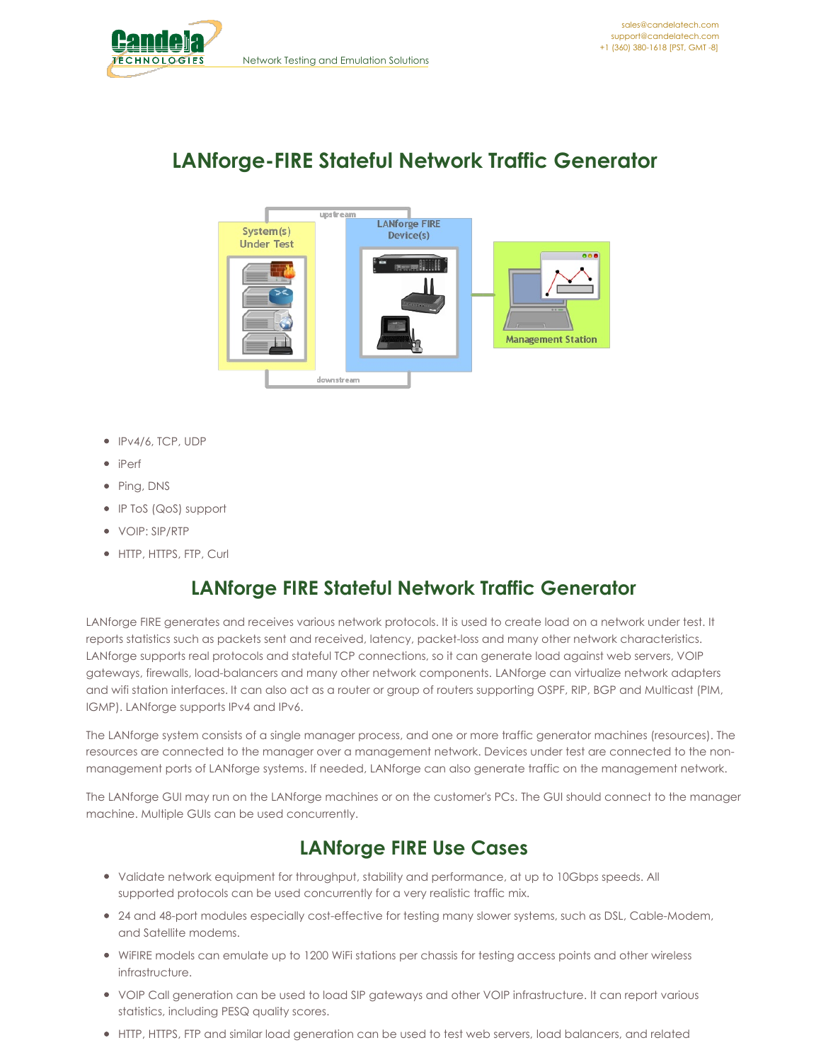<span id="page-0-0"></span>

# **LANforge-FIRE Stateful Network Traffic Generator**



- IPv4/6, TCP, UDP
- iPerf
- Ping, DNS
- IP ToS (QoS) support
- VOIP: SIP/RTP
- HTTP, HTTPS, FTP, Curl

### **LANforge FIRE Stateful Network Traffic Generator**

LANforge FIRE generates and receives various network protocols. It is used to create load on a network under test. It reports statistics such as packets sent and received, latency, packet-loss and many other network characteristics. LANforge supports real protocols and stateful TCP connections, so it can generate load against web servers, VOIP gateways, firewalls, load-balancers and many other network components. LANforge can virtualize network adapters and wifi station interfaces. It can also act as a router or group of routers supporting OSPF, RIP, BGP and Multicast (PIM, IGMP). LANforge supports IPv4 and IPv6.

The LANforge system consists of a single manager process, and one or more traffic generator machines (resources). The resources are connected to the manager over a management network. Devices under test are connected to the nonmanagement ports of LANforge systems. If needed, LANforge can also generate traffic on the management network.

The LANforge GUI may run on the LANforge machines or on the customer's PCs. The GUI should connect to the manager machine. Multiple GUIs can be used concurrently.

### **LANforge FIRE Use Cases**

- Validate network equipment for throughput, stability and performance, at up to 10Gbps speeds. All supported protocols can be used concurrently for a very realistic traffic mix.
- 24 and 48-port modules especially cost-effective for testing many slower systems, such as DSL, Cable-Modem, and Satellite modems.
- WiFIRE models can emulate up to 1200 WiFi stations per chassis for testing access points and other wireless infrastructure.
- VOIP Call generation can be used to load SIP gateways and other VOIP infrastructure. It can report various statistics, including PESQ quality scores.
- HTTP, HTTPS, FTP and similar load generation can be used to test web servers, load balancers, and related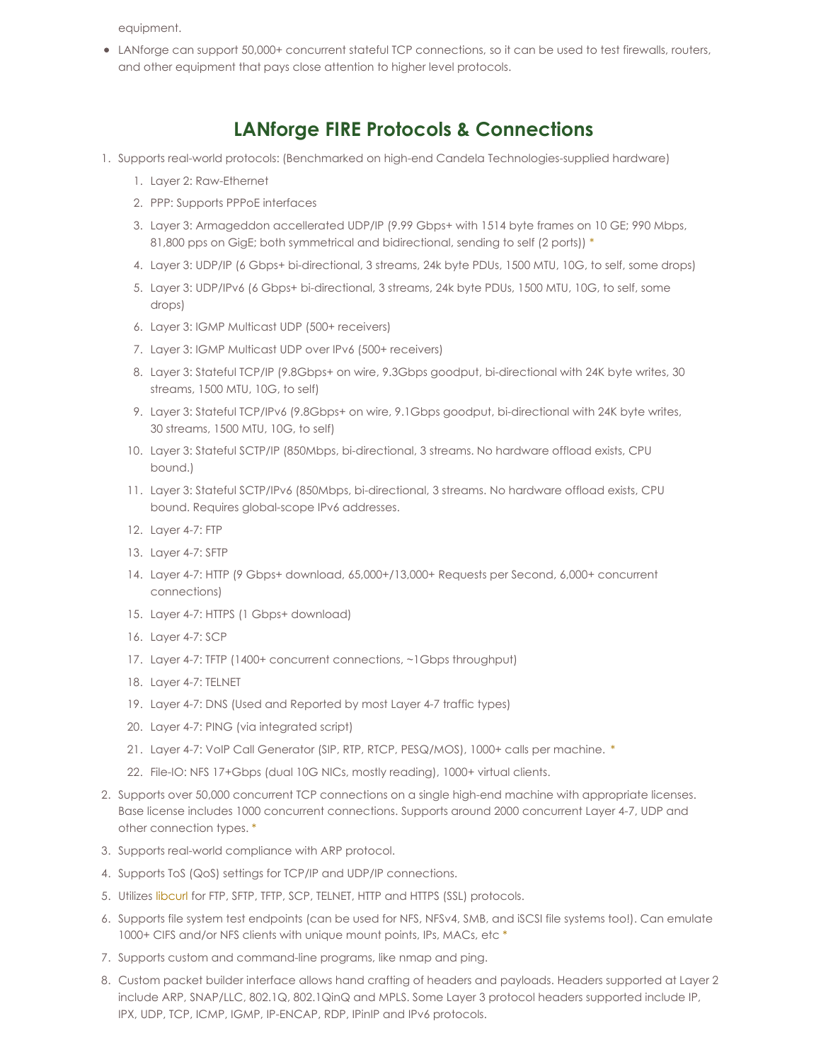equipment.

LANforge can support 50,000+ concurrent stateful TCP connections, so it can be used to test firewalls, routers, and other equipment that pays close attention to higher level protocols.

#### **LANforge FIRE Protocols & Connections**

- 1. Supports real-world protocols: (Benchmarked on high-end Candela Technologies-supplied hardware)
	- 1. Layer 2: Raw-Ethernet
	- 2. PPP: Supports PPPoE interfaces
	- 3. Layer 3: Armageddon accellerated UDP/IP (9.99 Gbps+ with 1514 byte frames on 10 GE; 990 Mbps, 81,800 pps on GigE; both symmetrical and bidirectional, sending to self (2 ports)) [\\*](#page-0-0)
	- 4. Layer 3: UDP/IP (6 Gbps+ bi-directional, 3 streams, 24k byte PDUs, 1500 MTU, 10G, to self, some drops)
	- 5. Layer 3: UDP/IPv6 (6 Gbps+ bi-directional, 3 streams, 24k byte PDUs, 1500 MTU, 10G, to self, some drops)
	- 6. Layer 3: IGMP Multicast UDP (500+ receivers)
	- 7. Layer 3: IGMP Multicast UDP over IPv6 (500+ receivers)
	- 8. Layer 3: Stateful TCP/IP (9.8Gbps+ on wire, 9.3Gbps goodput, bi-directional with 24K byte writes, 30 streams, 1500 MTU, 10G, to self)
	- 9. Layer 3: Stateful TCP/IPv6 (9.8Gbps+ on wire, 9.1Gbps goodput, bi-directional with 24K byte writes, 30 streams, 1500 MTU, 10G, to self)
	- 10. Layer 3: Stateful SCTP/IP (850Mbps, bi-directional, 3 streams. No hardware offload exists, CPU bound.)
	- 11. Layer 3: Stateful SCTP/IPv6 (850Mbps, bi-directional, 3 streams. No hardware offload exists, CPU bound. Requires global-scope IPv6 addresses.
	- 12. Layer 4-7: FTP
	- 13. Layer 4-7: SFTP
	- 14. Layer 4-7: HTTP (9 Gbps+ download, 65,000+/13,000+ Requests per Second, 6,000+ concurrent connections)
	- 15. Layer 4-7: HTTPS (1 Gbps+ download)
	- 16. Layer 4-7: SCP
	- 17. Layer 4-7: TFTP (1400+ concurrent connections, ~1Gbps throughput)
	- 18. Layer 4-7: TELNET
	- 19. Layer 4-7: DNS (Used and Reported by most Layer 4-7 traffic types)
	- 20. Layer 4-7: PING (via integrated script)
	- 21. Layer 4-7: VoIP Call Generator (SIP, RTP, RTCP, PESQ/MOS), 1000+ calls per machine. [\\*](#page-0-0)
	- 22. File-IO: NFS 17+Gbps (dual 10G NICs, mostly reading), 1000+ virtual clients.
- 2. Supports over 50,000 concurrent TCP connections on a single high-end machine with appropriate licenses. Base license includes 1000 concurrent connections. Supports around 2000 concurrent Layer 4-7, UDP and other connection types. [\\*](#page-0-0)
- 3. Supports real-world compliance with ARP protocol.
- 4. Supports ToS (QoS) settings for TCP/IP and UDP/IP connections.
- 5. Utilizes [libcurl](http://curl.haxx.se/libcurl/) for FTP, SFTP, TFTP, SCP, TELNET, HTTP and HTTPS (SSL) protocols.
- 6. Supports file system test endpoints (can be used for NFS, NFSv4, SMB, and iSCSI file systems too!). Can emulate 1000+ CIFS and/or NFS clients with unique mount points, IPs, MACs, etc [\\*](#page-0-0)
- 7. Supports custom and command-line programs, like nmap and ping.
- 8. Custom packet builder interface allows hand crafting of headers and payloads. Headers supported at Layer 2 include ARP, SNAP/LLC, 802.1Q, 802.1QinQ and MPLS. Some Layer 3 protocol headers supported include IP, IPX, UDP, TCP, ICMP, IGMP, IP-ENCAP, RDP, IPinIP and IPv6 protocols.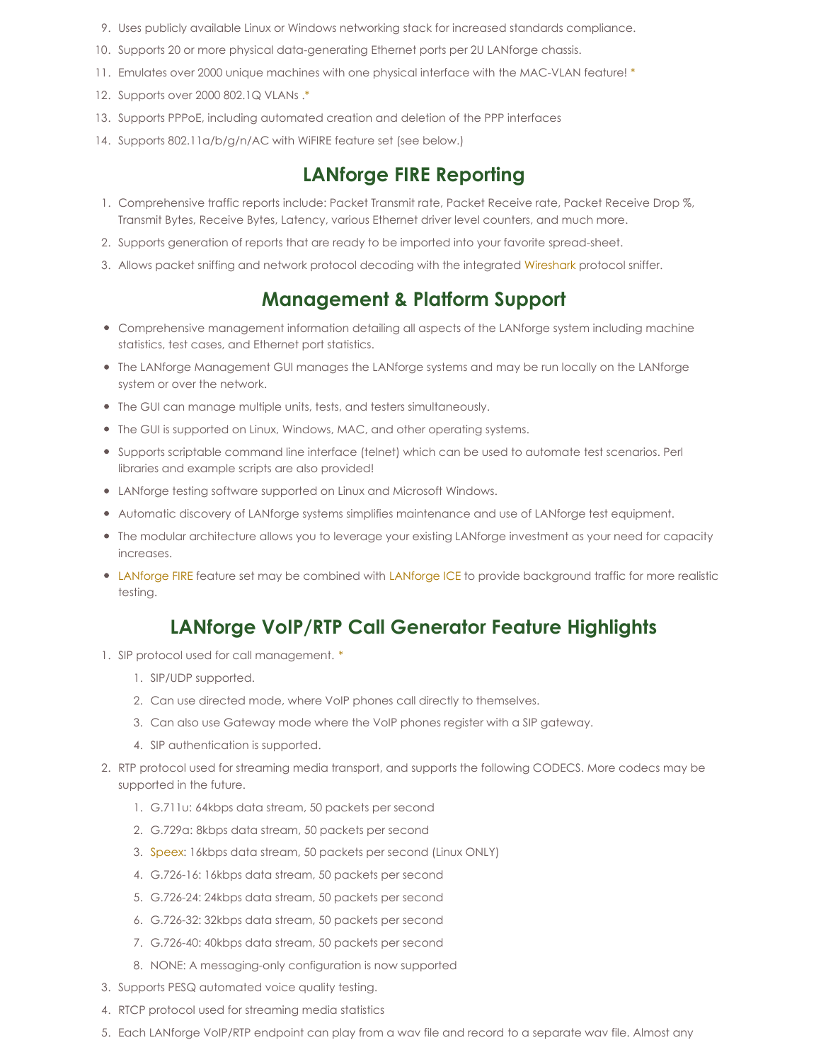- 9. Uses publicly available Linux or Windows networking stack for increased standards compliance.
- 10. Supports 20 or more physical data-generating Ethernet ports per 2U LANforge chassis.
- 11. Emulates over 2000 unique machines with one physical interface with the MAC-VLAN feature! [\\*](#page-0-0)
- 12. Supports over 2000 802.1Q VLANs [.\\*](#page-0-0)
- 13. Supports PPPoE, including automated creation and deletion of the PPP interfaces
- 14. Supports 802.11a/b/g/n/AC with WiFIRE feature set (see below.)

#### **LANforge FIRE Reporting**

- 1. Comprehensive traffic reports include: Packet Transmit rate, Packet Receive rate, Packet Receive Drop %, Transmit Bytes, Receive Bytes, Latency, various Ethernet driver level counters, and much more.
- 2. Supports generation of reports that are ready to be imported into your favorite spread-sheet.
- 3. Allows packet sniffing and network protocol decoding with the integrated [Wireshark](http://www.wireshark.org) protocol sniffer.

#### **Management & Platform Support**

- Comprehensive management information detailing all aspects of the LANforge system including machine statistics, test cases, and Ethernet port statistics.
- The LANforge Management GUI manages the LANforge systems and may be run locally on the LANforge system or over the network.
- The GUI can manage multiple units, tests, and testers simultaneously.
- The GUI is supported on Linux, Windows, MAC, and other operating systems.
- Supports scriptable command line interface (telnet) which can be used to automate test scenarios. Perl libraries and example scripts are also provided!
- LANforge testing software supported on Linux and Microsoft Windows.
- Automatic discovery of LANforge systems simplifies maintenance and use of LANforge test equipment.
- The modular architecture allows you to leverage your existing LANforge investment as your need for capacity increases.
- [LANforge](http://www.candelatech.com/datasheet_ice.php) FIRE feature set may be combined with LANforge ICE to provide background traffic for more realistic testing.

#### **LANforge VoIP/RTP Call Generator Feature Highlights**

- 1. SIP protocol used for call management. [\\*](#page-0-0)
	- 1. SIP/UDP supported.
	- 2. Can use directed mode, where VoIP phones call directly to themselves.
	- 3. Can also use Gateway mode where the VoIP phones register with a SIP gateway.
	- 4. SIP authentication is supported.
- 2. RTP protocol used for streaming media transport, and supports the following CODECS. More codecs may be supported in the future.
	- 1. G.711u: 64kbps data stream, 50 packets per second
	- 2. G.729a: 8kbps data stream, 50 packets per second
	- 3. [Speex](http://www.speex.org): 16kbps data stream, 50 packets per second (Linux ONLY)
	- 4. G.726-16: 16kbps data stream, 50 packets per second
	- 5. G.726-24: 24kbps data stream, 50 packets per second
	- 6. G.726-32: 32kbps data stream, 50 packets per second
	- 7. G.726-40: 40kbps data stream, 50 packets per second
	- 8. NONE: A messaging-only configuration is now supported
- 3. Supports PESQ automated voice quality testing.
- 4. RTCP protocol used for streaming media statistics
- 5. Each LANforge VoIP/RTP endpoint can play from a wav file and record to a separate wav file. Almost any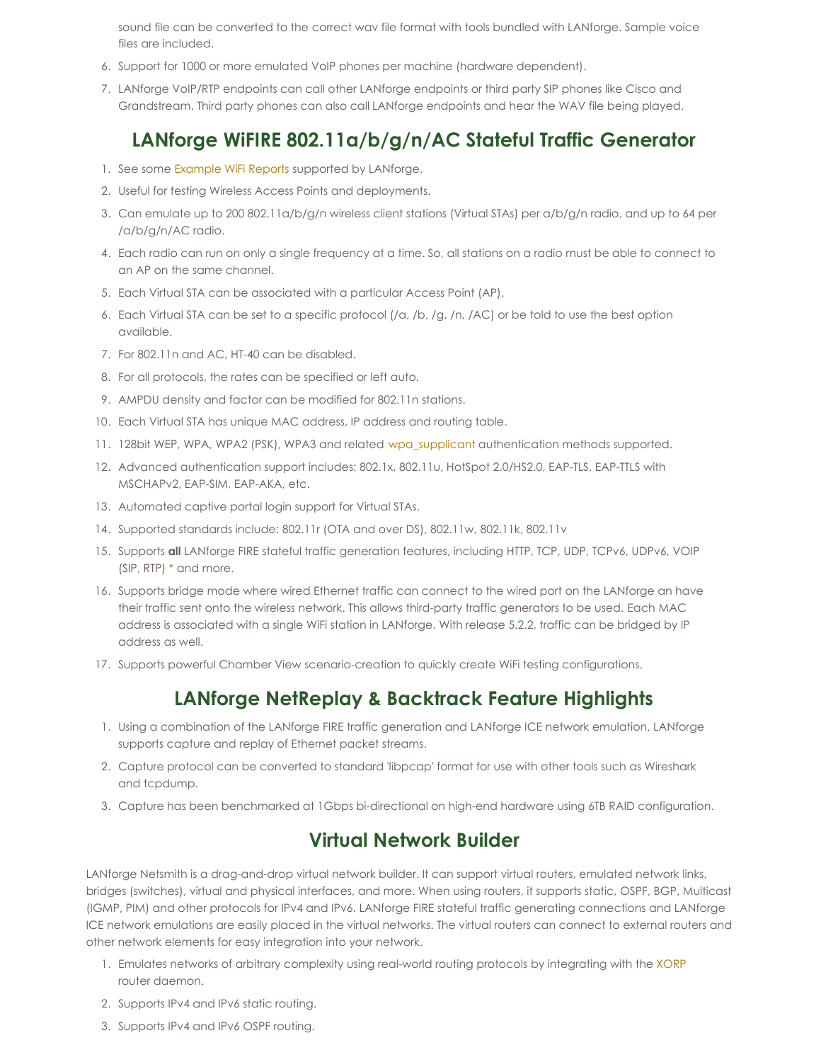sound file can be converted to the correct wav file format with tools bundled with LANforge. Sample voice files are included.

- 6. Support for 1000 or more emulated VoIP phones per machine (hardware dependent).
- 7. LANforge VoIP/RTP endpoints can call other LANforge endpoints or third party SIP phones like Cisco and Grandstream. Third party phones can also call LANforge endpoints and hear the WAV file being played.

## **LANforge WiFIRE 802.11a/b/g/n/AC Stateful Traffic Generator**

- 1. See some [Example](http://www.candelatech.com/lf_wifi_reports.php) WiFi Reports supported by LANforge.
- 2. Useful for testing Wireless Access Points and deployments.
- 3. Can emulate up to 200 802.11a/b/g/n wireless client stations (Virtual STAs) per a/b/g/n radio, and up to 64 per /a/b/g/n/AC radio.
- 4. Each radio can run on only a single frequency at a time. So, all stations on a radio must be able to connect to an AP on the same channel.
- 5. Each Virtual STA can be associated with a particular Access Point (AP).
- 6. Each Virtual STA can be set to a specific protocol (/a, /b, /g, /n, /AC) or be told to use the best option available.
- 7. For 802.11n and AC, HT-40 can be disabled.
- 8. For all protocols, the rates can be specified or left auto.
- 9. AMPDU density and factor can be modified for 802.11n stations.
- 10. Each Virtual STA has unique MAC address, IP address and routing table.
- 11. 128bit WEP, WPA, WPA2 (PSK), WPA3 and related [wpa\\_supplicant](http://en.wikipedia.org/wiki/Wpa_supplicant) authentication methods supported.
- 12. Advanced authentication support includes: 802.1x, 802.11u, HotSpot 2.0/HS2.0, EAP-TLS, EAP-TTLS with MSCHAPv2, EAP-SIM, EAP-AKA, etc.
- 13. Automated captive portal login support for Virtual STAs.
- 14. Supported standards include: 802.11r (OTA and over DS), 802.11w, 802.11k, 802.11v
- 15. Supports **all** LANforge FIRE stateful traffic generation features, including HTTP, TCP, UDP, TCPv6, UDPv6, VOIP (SIP, RTP) [\\*](#page-0-0) and more.
- 16. Supports bridge mode where wired Ethernet traffic can connect to the wired port on the LANforge an have their traffic sent onto the wireless network. This allows third-party traffic generators to be used. Each MAC address is associated with a single WiFi station in LANforge. With release 5.2.2, traffic can be bridged by IP address as well.
- 17. Supports powerful Chamber View scenario-creation to quickly create WiFi testing configurations.

#### **LANforge NetReplay & Backtrack Feature Highlights**

- 1. Using a combination of the LANforge FIRE traffic generation and LANforge ICE network emulation, LANforge supports capture and replay of Ethernet packet streams.
- 2. Capture protocol can be converted to standard 'libpcap' format for use with other tools such as Wireshark and tcpdump.
- 3. Capture has been benchmarked at 1Gbps bi-directional on high-end hardware using 6TB RAID configuration.

#### **Virtual Network Builder**

LANforge Netsmith is a drag-and-drop virtual network builder. It can support virtual routers, emulated network links, bridges (switches), virtual and physical interfaces, and more. When using routers, it supports static, OSPF, BGP, Multicast (IGMP, PIM) and other protocols for IPv4 and IPv6. LANforge FIRE stateful traffic generating connections and LANforge ICE network emulations are easily placed in the virtual networks. The virtual routers can connect to external routers and other network elements for easy integration into your network.

- 1. Emulates networks of arbitrary complexity using real-world routing protocols by integrating with the [XORP](http://www.xorp.org) router daemon.
- 2. Supports IPv4 and IPv6 static routing.
- 3. Supports IPv4 and IPv6 OSPF routing.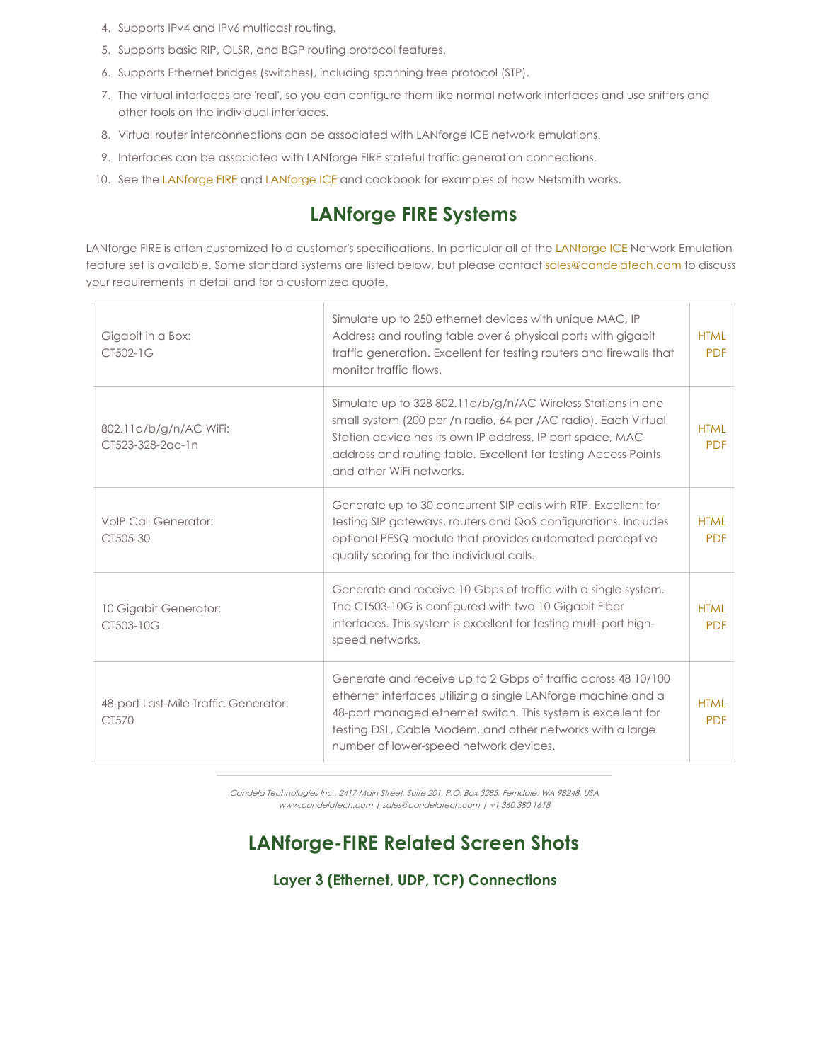- 4. Supports IPv4 and IPv6 multicast routing.
- 5. Supports basic RIP, OLSR, and BGP routing protocol features.
- 6. Supports Ethernet bridges (switches), including spanning tree protocol (STP).
- 7. The virtual interfaces are 'real', so you can configure them like normal network interfaces and use sniffers and other tools on the individual interfaces.
- 8. Virtual router interconnections can be associated with LANforge ICE network emulations.
- 9. Interfaces can be associated with LANforge FIRE stateful traffic generation connections.
- 10. See the [LANforge](http://www.candelatech.com/lfgui_ice_cookbook.php) FIRE and LANforge ICE and cookbook for examples of how Netsmith works.

#### **LANforge FIRE Systems**

[LANforge](http://www.candelatech.com/datasheet_ice.php) FIRE is often customized to a customer's specifications. In particular all of the LANforge ICE Network Emulation feature set is available. Some standard systems are listed below, but please contact [sales@candelatech.com](mailto:sales@candelatech.com) to discuss your requirements in detail and for a customized quote.

| Gigabit in a Box:<br>CT502-1G                 | Simulate up to 250 ethernet devices with unique MAC, IP<br>Address and routing table over 6 physical ports with gigabit<br>traffic generation. Excellent for testing routers and firewalls that<br>monitor traffic flows.                                                                              | <b>HTML</b><br><b>PDF</b> |
|-----------------------------------------------|--------------------------------------------------------------------------------------------------------------------------------------------------------------------------------------------------------------------------------------------------------------------------------------------------------|---------------------------|
| 802.11a/b/g/n/AC WiFi:<br>CT523-328-2ac-1n    | Simulate up to 328 802.11a/b/g/n/AC Wireless Stations in one<br>small system (200 per /n radio, 64 per /AC radio). Each Virtual<br>Station device has its own IP address, IP port space, MAC<br>address and routing table. Excellent for testing Access Points<br>and other WiFi networks.             | <b>HTML</b><br><b>PDF</b> |
| <b>VolP Call Generator:</b><br>CT505-30       | Generate up to 30 concurrent SIP calls with RTP. Excellent for<br>testing SIP gateways, routers and QoS configurations. Includes<br>optional PESQ module that provides automated perceptive<br>quality scoring for the individual calls.                                                               | <b>HTML</b><br><b>PDF</b> |
| 10 Gigabit Generator:<br>CT503-10G            | Generate and receive 10 Gbps of traffic with a single system.<br>The CT503-10G is configured with two 10 Gigabit Fiber<br>interfaces. This system is excellent for testing multi-port high-<br>speed networks.                                                                                         | <b>HTMI</b><br><b>PDF</b> |
| 48-port Last-Mile Traffic Generator:<br>CT570 | Generate and receive up to 2 Gbps of traffic across 48 10/100<br>ethernet interfaces utilizing a single LANforge machine and a<br>48-port managed ethernet switch. This system is excellent for<br>testing DSL, Cable Modem, and other networks with a large<br>number of lower-speed network devices. | <b>HTML</b><br><b>PDF</b> |

Candela Technologies Inc., 2417 Main Street, Suite 201, P.O. Box 3285, Ferndale, WA 98248, USA www.candelatech.com | sales@candelatech.com | +1 360 380 1618

### **LANforge-FIRE Related Screen Shots**

**Layer 3 (Ethernet, UDP, TCP) Connections**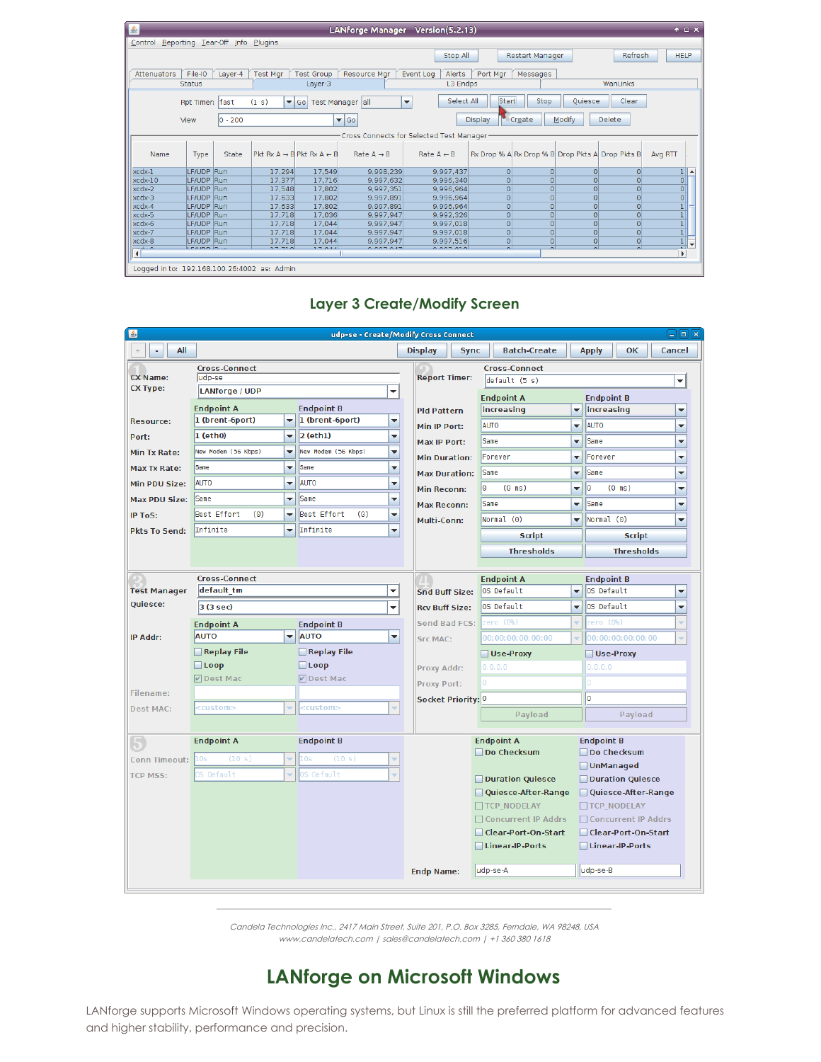| ■金                                       |                          |            |                                           |                                                  | LANforge Manager Version(5.2.13) |                                        |                |                                                 |                     |                | $+$ $ \times$                                                           |  |
|------------------------------------------|--------------------------|------------|-------------------------------------------|--------------------------------------------------|----------------------------------|----------------------------------------|----------------|-------------------------------------------------|---------------------|----------------|-------------------------------------------------------------------------|--|
| Control Reporting Tear-Off Info Plugins  |                          |            |                                           |                                                  |                                  |                                        |                |                                                 |                     |                |                                                                         |  |
|                                          |                          |            |                                           |                                                  |                                  | Stop All                               |                | <b>Restart Manager</b>                          |                     | Refresh        | <b>HELP</b>                                                             |  |
|                                          |                          |            |                                           |                                                  |                                  |                                        |                |                                                 |                     |                |                                                                         |  |
| <b>Attenuators</b>                       | File-IO                  | Layer-4    | <b>Test Mgr</b>                           | <b>Test Group</b>                                | Resource Mgr                     | Event Log<br>Alerts                    | Port Mgr       | Messages                                        |                     |                |                                                                         |  |
|                                          | <b>Status</b>            |            |                                           | Layer-3                                          |                                  | L3 Endps                               |                |                                                 |                     | WanLinks       |                                                                         |  |
|                                          | Rpt Timer: fast          |            | (1 s)                                     | ▼ Go   Test Manager   all                        |                                  | Select All<br>$\overline{\phantom{a}}$ | <b>Start</b>   | Stop                                            | Oujesce             | Clear          |                                                                         |  |
|                                          | View                     | $ 0 - 200$ |                                           |                                                  | $\blacktriangledown$ Go          |                                        | <b>Display</b> | Modify<br>Create                                |                     | Delete         |                                                                         |  |
| Cross Connects for Selected Test Manager |                          |            |                                           |                                                  |                                  |                                        |                |                                                 |                     |                |                                                                         |  |
| Name                                     | Type                     | State      |                                           | $Pkt Rx A \rightarrow B$ $Pkt Rx A \leftarrow B$ | Rate $A \rightarrow B$           | Rate $A \leftarrow B$                  |                | Rx Drop % A Rx Drop % B Drop Pkts A Drop Pkts B |                     |                | Avg RTT                                                                 |  |
| xcdx-1                                   | LF/UDP Run               |            | 17.294                                    | 17,549                                           | 9.998.239                        | 9.997.437                              | $\Omega$       | $\circ$                                         | $\Omega$            | 0              | 11                                                                      |  |
| $xcdx-10$                                | LF/UDP Run               |            | 17,377                                    | 17,716                                           | 9,997,632                        | 9.996.340                              | $\Omega$       | $\Omega$                                        | $\Omega$            | $\Omega$       | $\begin{array}{c c} \hline \mathbf{o} \\ \hline \mathbf{o} \end{array}$ |  |
| xcdx-2                                   | LF/UDP Run               |            | 17,548                                    | 17,802                                           | 9,997,351                        | 9,996,964                              | $\Omega$       | $\Omega$                                        | $\overline{0}$      | $\Omega$       |                                                                         |  |
| xcdx-3                                   | LF/UDP Run               |            | 17.633                                    | 17,802                                           | 9,997,891                        | 9.996.964                              | $\Omega$       | $\Omega$                                        | $\Omega$            | 0              |                                                                         |  |
| xcdx-4                                   | LF/UDP Run               |            | 17,633                                    | 17,802                                           | 9,997,891                        | 9.996.964                              | $\circ$        | $\overline{0}$                                  |                     | $\Omega$       | 1                                                                       |  |
| xcdx-5                                   | LF/UDP Run               |            | 17,718                                    | 17,036                                           | 9,997,947                        | 9,992,326                              | $\Omega$       | $\Omega$                                        | $\Omega$            | $\Omega$       |                                                                         |  |
| xcdx-6                                   | LF/UDP Run               |            | 17.718                                    | 17,044                                           | 9,997,947                        | 9,997,018                              | $\Omega$       | $\Omega$                                        | $\Omega$            | $\Omega$       | $\begin{array}{c} 1 \\ 1 \\ 1 \end{array}$                              |  |
| xcdx-7<br>xcdx-8                         | LF/UDP Run<br>LF/UDP Run |            | 17,718<br>17.718                          | 17.044<br>17,044                                 | 9.997.947<br>9.997.947           | 9.997.018<br>9.997.516                 | $\Omega$<br> 0 | $\circ$<br> 0                                   | $\Omega$<br>$\circ$ | 0 <br> 0       |                                                                         |  |
|                                          | LE 8. IELE D.            |            | 277.720                                   | 7701                                             | 0.007047                         | 0.007.010                              |                | $\overline{a}$                                  |                     | $\overline{a}$ | $\frac{1}{2}$<br>$\checkmark$                                           |  |
| $\overline{\bullet}$                     |                          |            |                                           |                                                  |                                  |                                        |                |                                                 |                     |                | $\blacktriangleright$                                                   |  |
|                                          |                          |            | Logged in to: 19216810026:4002.as: Admin. |                                                  |                                  |                                        |                |                                                 |                     |                |                                                                         |  |

#### udp-se - Create/Modify Cross Connect  $+$   $\vert$  -  $\vert$  All Display | Sync Batch-Create **Apply**  $\|$  ok Cancel **Cross-Connect Cross-Connect Report Timer:** CX Name: udp-se  $\sqrt{\text{default}(5 s)}$  $\overline{\phantom{0}}$ **CX Type: LANforge / UDP**  $\overline{\phantom{a}}$ **Endpoint A Endpoint B Endpoint A Endpoint B** increasing  $\overline{\phantom{0}}$ **Pld Pattern** increasing  $\blacktriangledown$  $\overline{\phantom{a}}$  (brent-6port) 1 (brent-6port) **Resource:** ► AUTO Y Min IP Port: **AUTO**  $\overline{\phantom{0}}$  $1$  (eth0)  $\mathbf{z}$  2 (eth1) Ξ Port:  $\overline{\phantom{0}}$ Max IP Port: *Same* ÷ Same New Modem (56 Kbps)  $\overline{\phantom{0}}$ New Modem (56 Kbps) Y Min Tx Rate: **Min Duration:** Forever  $\overline{\phantom{0}}$ Forever  $\overline{\phantom{0}}$ Max Tx Rate:  $\blacktriangledown$ Same  $\overline{\phantom{0}}$ Same  $\overline{\phantom{0}}$ Same  $\overline{\phantom{0}}$ **Max Duration:** Same AUTO AUTO Min PDU Size:  $\left| \cdot \right|$  $\overline{\phantom{0}}$ Min Reconn: lo  $(0 \text{ ms})$ ÷  $\vert$ 0  $(0 \text{ ms})$ Y Max PDU Size: Same  $\blacktriangleright$  Same  $\blacktriangledown$  $\overline{\phantom{0}}$ Same Y Max Reconn: Same Best Effort Best Effort  $(0)$  $\overline{\phantom{0}}$ IP ToS:  $(0)$  $\boxed{\mathbf{v}}$  Normal (0) Multi-Conn: Normal (0)  $\blacktriangledown$  $\overline{\mathbf{v}}$  Infinite Infinite  $\overline{\phantom{a}}$ **Pkts To Send: Script Script Thresholds Thresholds Cross-Connect Endpoint A Endpoint B Test Manager** default tm l – Snd Buff Size: OS Default  $\bullet$  0S Default  $\overline{\phantom{0}}$ **Quiesce:**  $\overline{\bullet}$  OS Default 3 (3 sec) |↓ OS Default  $\overline{\phantom{0}}$ **Rcv Buff Size: Send Bad FCS: Endpoint A Endpoint B**  $\blacktriangleright$  **AUTO**  $\vert \textcolor{red}{\textbf{v}} \vert$  $0:00:00:00:00:$ IP Addr: **AUTO Src MAC:** Replay File Replay File Use-Proxy Use-Proxy  $\Box$  Loop  $\Box$  Loop Proxy Addr: **ØDest Mad ØDest Mac** Proxy Port: Filename: Socket Priority: 0  $\sqrt{2}$ **Dest MAC:** ccustom> ccustom:  $\overline{\phantom{a}}$ Payload Payload **Endpoint A Endpoint B Endpoint A Endpoint B** Do Checksum Do Checksum **Conn Timeout: UnManaged** TCP MSS: S Default Default Duration Quiesce Duration Quiesce Quiesce-After-Range Quiesce-After-Range TCP NODELAY **TTCP NODELAY** □ Concurrent IP Addrs □ Concurrent IP Addrs □ Clear-Port-On-Start □ Clear-Port-On-Start □ Linear-IP-Ports □ Linear-IP-Ports **Endp Name:** udp-se-A ludp-se-B

#### **Layer 3 Create/Modify Screen**

Candela Technologies Inc., 2417 Main Street, Suite 201, P.O. Box 3285, Ferndale, WA 98248, USA www.candelatech.com | sales@candelatech.com | +1 360 380 1618

#### **LANforge on Microsoft Windows**

LANforge supports Microsoft Windows operating systems, but Linux is still the preferred platform for advanced features and higher stability, performance and precision.